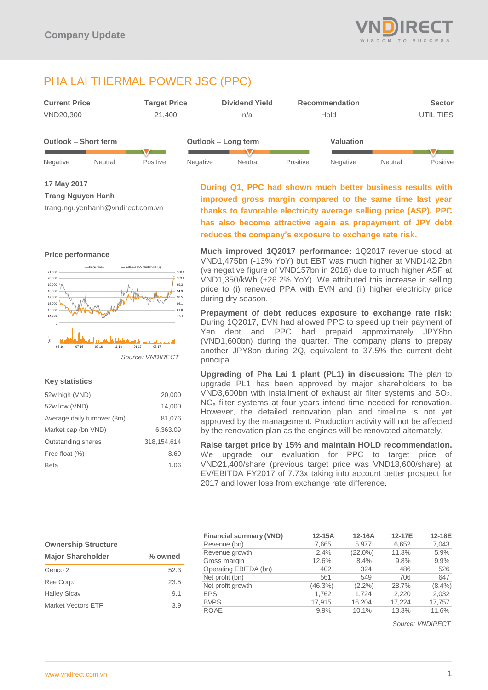

# PHA LAI THERMAL POWER JSC (PPC)

| <b>Current Price</b> | <b>Target Price</b> | <b>Dividend Yield</b> | <b>Recommendation</b> | <b>Sector</b>    |
|----------------------|---------------------|-----------------------|-----------------------|------------------|
| VND20.300            | 21.400              | n/a                   | Hold                  | <b>UTILITIES</b> |

| <b>Outlook - Short term</b> |         |                 | Outlook – Long term |         |          | Valuation       |         |                 |
|-----------------------------|---------|-----------------|---------------------|---------|----------|-----------------|---------|-----------------|
|                             |         |                 |                     |         |          |                 |         |                 |
| Negative                    | Neutral | <b>Positive</b> | Negative            | Neutral | Positive | <b>Negative</b> | Neutral | <b>Positive</b> |

**17 May 2017**

**Trang Nguyen Hanh**

trang.nguyenhanh@vndirect.com.vn



## **Key statistics**

| 52w high (VND)              | 20,000      |
|-----------------------------|-------------|
| 52w low (VND)               | 14,000      |
| Average daily turnover (3m) | 81,076      |
| Market cap (bn VND)         | 6,363.09    |
| Outstanding shares          | 318.154.614 |
| Free float (%)              | 8.69        |
| <b>Beta</b>                 | 1.06        |
|                             |             |

**During Q1, PPC had shown much better business results with improved gross margin compared to the same time last year thanks to favorable electricity average selling price (ASP). PPC has also become attractive again as prepayment of JPY debt reduces the company's exposure to exchange rate risk.** 

**Much improved 1Q2017 performance:** 1Q2017 revenue stood at VND1,475bn (-13% YoY) but EBT was much higher at VND142.2bn (vs negative figure of VND157bn in 2016) due to much higher ASP at VND1,350/kWh (+26.2% YoY). We attributed this increase in selling price to (i) renewed PPA with EVN and (ii) higher electricity price during dry season.

**Prepayment of debt reduces exposure to exchange rate risk:**  During 1Q2017, EVN had allowed PPC to speed up their payment of Yen debt and PPC had prepaid approximately JPY8bn (VND1,600bn) during the quarter. The company plans to prepay another JPY8bn during 2Q, equivalent to 37.5% the current debt principal.

**Upgrading of Pha Lai 1 plant (PL1) in discussion:** The plan to upgrade PL1 has been approved by major shareholders to be VND3,600bn with installment of exhaust air filter systems and SO2, NO<sub>x</sub> filter systems at four years intend time needed for renovation. However, the detailed renovation plan and timeline is not yet approved by the management. Production activity will not be affected by the renovation plan as the engines will be renovated alternately.

**Raise target price by 15% and maintain HOLD recommendation.**  We upgrade our evaluation for PPC to target price of VND21,400/share (previous target price was VND18,600/share) at EV/EBITDA FY2017 of 7.73x taking into account better prospect for 2017 and lower loss from exchange rate difference.

## **Ownership Structure**

| <b>Major Shareholder</b>  | % owned |
|---------------------------|---------|
| Genco 2                   | 52.3    |
| Ree Corp.                 | 23.5    |
| <b>Halley Sicav</b>       | 9.1     |
| <b>Market Vectors ETF</b> | 3.9     |

| <b>Financial summary (VND)</b> | 12-15A  | 12-16A     | 12-17E | 12-18E    |
|--------------------------------|---------|------------|--------|-----------|
| Revenue (bn)                   | 7,665   | 5.977      | 6,652  | 7,043     |
| Revenue growth                 | 2.4%    | $(22.0\%)$ | 11.3%  | 5.9%      |
| Gross margin                   | 12.6%   | 8.4%       | 9.8%   | 9.9%      |
| Operating EBITDA (bn)          | 402     | 324        | 486    | 526       |
| Net profit (bn)                | 561     | 549        | 706    | 647       |
| Net profit growth              | (46.3%) | $(2.2\%)$  | 28.7%  | $(8.4\%)$ |
| <b>EPS</b>                     | 1,762   | 1.724      | 2,220  | 2,032     |
| <b>BVPS</b>                    | 17,915  | 16,204     | 17.224 | 17,757    |
| <b>ROAE</b>                    | 9.9%    | 10.1%      | 13.3%  | 11.6%     |

*Source: VNDIRECT*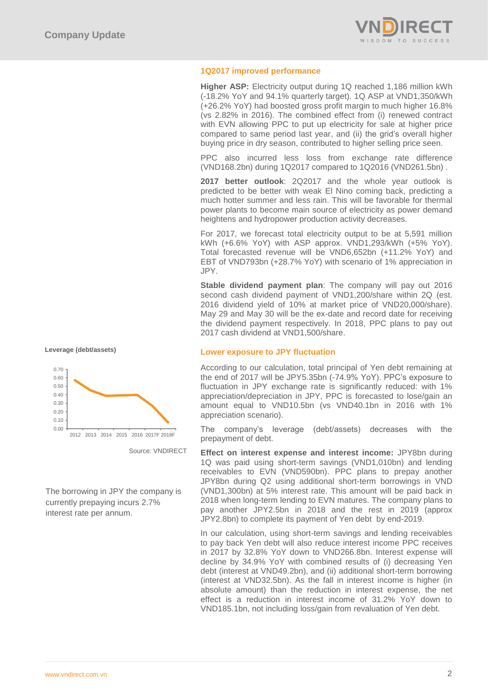

## **1Q2017 improved performance**

**Higher ASP:** Electricity output during 1Q reached 1,186 million kWh (-18.2% YoY and 94.1% quarterly target). 1Q ASP at VND1,350/kWh (+26.2% YoY) had boosted gross profit margin to much higher 16.8% (vs 2.82% in 2016). The combined effect from (i) renewed contract with EVN allowing PPC to put up electricity for sale at higher price compared to same period last year, and (ii) the grid's overall higher buying price in dry season, contributed to higher selling price seen.

PPC also incurred less loss from exchange rate difference (VND168.2bn) during 1Q2017 compared to 1Q2016 (VND261.5bn) .

**2017 better outlook**: 2Q2017 and the whole year outlook is predicted to be better with weak El Nino coming back, predicting a much hotter summer and less rain. This will be favorable for thermal power plants to become main source of electricity as power demand heightens and hydropower production activity decreases.

For 2017, we forecast total electricity output to be at 5,591 million kWh (+6.6% YoY) with ASP approx. VND1,293/kWh (+5% YoY). Total forecasted revenue will be VND6,652bn (+11.2% YoY) and EBT of VND793bn (+28.7% YoY) with scenario of 1% appreciation in JPY.

**Stable dividend payment plan**: The company will pay out 2016 second cash dividend payment of VND1,200/share within 2Q (est. 2016 dividend yield of 10% at market price of VND20,000/share). May 29 and May 30 will be the ex-date and record date for receiving the dividend payment respectively. In 2018, PPC plans to pay out 2017 cash dividend at VND1,500/share.

## **Lower exposure to JPY fluctuation**

According to our calculation, total principal of Yen debt remaining at the end of 2017 will be JPY5.35bn (-74.9% YoY). PPC's exposure to fluctuation in JPY exchange rate is significantly reduced: with 1% appreciation/depreciation in JPY, PPC is forecasted to lose/gain an amount equal to VND10.5bn (vs VND40.1bn in 2016 with 1% appreciation scenario).

The company's leverage (debt/assets) decreases with the prepayment of debt.

**Effect on interest expense and interest income:** JPY8bn during 1Q was paid using short-term savings (VND1,010bn) and lending receivables to EVN (VND590bn). PPC plans to prepay another JPY8bn during Q2 using additional short-term borrowings in VND (VND1,300bn) at 5% interest rate. This amount will be paid back in 2018 when long-term lending to EVN matures. The company plans to pay another JPY2.5bn in 2018 and the rest in 2019 (approx JPY2.8bn) to complete its payment of Yen debt by end-2019.

In our calculation, using short-term savings and lending receivables to pay back Yen debt will also reduce interest income PPC receives in 2017 by 32.8% YoY down to VND266.8bn. Interest expense will decline by 34.9% YoY with combined results of (i) decreasing Yen debt (interest at VND49.2bn), and (ii) additional short-term borrowing (interest at VND32.5bn). As the fall in interest income is higher (in absolute amount) than the reduction in interest expense, the net effect is a reduction in interest income of 31.2% YoY down to VND185.1bn, not including loss/gain from revaluation of Yen debt.





Source: VNDIRECT

The borrowing in JPY the company is currently prepaying incurs 2.7% interest rate per annum.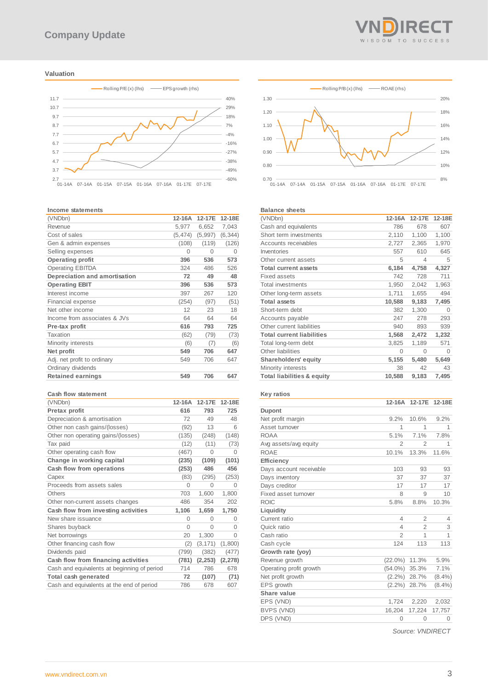#### **Valuation**



#### **Income statements**

| (VNDbn)                       | 12-16A   | 12-17E   | 12-18E   |
|-------------------------------|----------|----------|----------|
| Revenue                       | 5,977    | 6,652    | 7,043    |
| Cost of sales                 | (5, 474) | (5,997)  | (6, 344) |
| Gen & admin expenses          | (108)    | (119)    | (126)    |
| Selling expenses              | $\Omega$ | $\Omega$ | $\Omega$ |
| <b>Operating profit</b>       | 396      | 536      | 573      |
| <b>Operating EBITDA</b>       | 324      | 486      | 526      |
| Depreciation and amortisation | 72       | 49       | 48       |
| <b>Operating EBIT</b>         | 396      | 536      | 573      |
| Interest income               | 397      | 267      | 120      |
| <b>Financial expense</b>      | (254)    | (97)     | (51)     |
| Net other income              | 12       | 23       | 18       |
| Income from associates & JVs  | 64       | 64       | 64       |
| Pre-tax profit                | 616      | 793      | 725      |
| Taxation                      | (62)     | (79)     | (73)     |
| Minority interests            | (6)      | (7)      | (6)      |
| Net profit                    | 549      | 706      | 647      |
| Adj. net profit to ordinary   | 549      | 706      | 647      |
| Ordinary dividends            |          |          |          |
| <b>Retained earnings</b>      | 549      | 706      | 647      |

#### **Cash flow statement**

| (VNDbn)                                     | 12-16A   | 12-17E   | 12-18E   |
|---------------------------------------------|----------|----------|----------|
| Pretax profit                               | 616      | 793      | 725      |
| Depreciation & amortisation                 | 72       | 49       | 48       |
| Other non cash gains/(losses)               | (92)     | 13       | 6        |
| Other non operating gains/(losses)          | (135)    | (248)    | (148)    |
| Tax paid                                    | (12)     | (11)     | (73)     |
| Other operating cash flow                   | (467)    | $\Omega$ | 0        |
| Change in working capital                   | (235)    | (109)    | (101)    |
| Cash flow from operations                   | (253)    | 486      | 456      |
| Capex                                       | (83)     | (295)    | (253)    |
| Proceeds from assets sales                  | $\Omega$ | $\Omega$ | $\Omega$ |
| Others                                      | 703      | 1,600    | 1,800    |
| Other non-current assets changes            | 486      | 354      | 202      |
| Cash flow from investing activities         | 1,106    | 1,659    | 1,750    |
| New share issuance                          | $\Omega$ | $\Omega$ | $\Omega$ |
| Shares buyback                              | $\Omega$ | $\Omega$ | $\Omega$ |
| Net borrowings                              | 20       | 1,300    | $\Omega$ |
| Other financing cash flow                   | (2)      | (3, 171) | (1,800)  |
| Dividends paid                              | (799)    | (382)    | (477)    |
| Cash flow from financing activities         | (781)    | (2, 253) | (2, 278) |
| Cash and equivalents at beginning of period | 714      | 786      | 678      |
| Total cash generated                        | 72       | (107)    | (71)     |
| Cash and equivalents at the end of period   | 786      | 678      | 607      |



#### **Balance sheets**

| ратансе энеетэ                        |          |          |          |
|---------------------------------------|----------|----------|----------|
| (VNDbn)                               | 12-16A   | 12-17E   | 12-18E   |
| Cash and equivalents                  | 786      | 678      | 607      |
| Short term investments                | 2,110    | 1,100    | 1,100    |
| Accounts receivables                  | 2,727    | 2,365    | 1,970    |
| Inventories                           | 557      | 610      | 645      |
| Other current assets                  | 5        | 4        | 5        |
| <b>Total current assets</b>           | 6,184    | 4,758    | 4,327    |
| <b>Fixed assets</b>                   | 742      | 728      | 711      |
| <b>Total investments</b>              | 1,950    | 2,042    | 1,963    |
| Other long-term assets                | 1,711    | 1,655    | 494      |
| <b>Total assets</b>                   | 10,588   | 9,183    | 7,495    |
| Short-term debt                       | 382      | 1,300    | $\Omega$ |
| Accounts payable                      | 247      | 278      | 293      |
| Other current liabilities             | 940      | 893      | 939      |
| <b>Total current liabilities</b>      | 1,568    | 2,472    | 1,232    |
| Total long-term debt                  | 3,825    | 1,189    | 571      |
| Other liabilities                     | $\Omega$ | $\Omega$ | $\Omega$ |
| Shareholders' equity                  | 5,155    | 5,480    | 5,649    |
| Minority interests                    | 38       | 42       | 43       |
| <b>Total liabilities &amp; equity</b> | 10,588   | 9,183    | 7,495    |
|                                       |          |          |          |

#### **Key ratios**

|                         | 12-16A         | 12-17E         | 12-18E    |
|-------------------------|----------------|----------------|-----------|
| <b>Dupont</b>           |                |                |           |
| Net profit margin       | 9.2%           | 10.6%          | 9.2%      |
| Asset turnover          | 1              | 1              | 1         |
| <b>ROAA</b>             | 5.1%           | 7.1%           | 7.8%      |
| Avg assets/avg equity   | $\overline{2}$ | $\overline{2}$ | 1         |
| <b>ROAE</b>             | 10.1%          | 13.3%          | 11.6%     |
| Efficiency              |                |                |           |
| Days account receivable | 103            | 93             | 93        |
| Days inventory          | 37             | 37             | 37        |
| Days creditor           | 17             | 17             | 17        |
| Fixed asset turnover    | 8              | 9              | 10        |
| <b>ROIC</b>             | 5.8%           | 8.8%           | 10.3%     |
| Liquidity               |                |                |           |
| Current ratio           | $\overline{4}$ | $\overline{2}$ | 4         |
| Quick ratio             | 4              | $\overline{2}$ | 3         |
| Cash ratio              | $\mathfrak{D}$ | 1              | 1         |
| Cash cycle              | 124            | 113            | 113       |
| Growth rate (yoy)       |                |                |           |
| Revenue growth          | $(22.0\%)$     | 11.3%          | 5.9%      |
| Operating profit growth | $(54.0\%)$     | 35.3%          | 7.1%      |
| Net profit growth       | $(2.2\%)$      | 28.7%          | $(8.4\%)$ |
| EPS growth              | $(2.2\%)$      | 28.7%          | $(8.4\%)$ |
| Share value             |                |                |           |
| EPS (VND)               | 1,724          | 2,220          | 2,032     |
| BVPS (VND)              | 16,204         | 17,224         | 17,757    |
| DPS (VND)               | $\Omega$       | 0              | 0         |
|                         |                |                |           |

*Source: VNDIRECT*

REI WISDOM TO SUCCESS